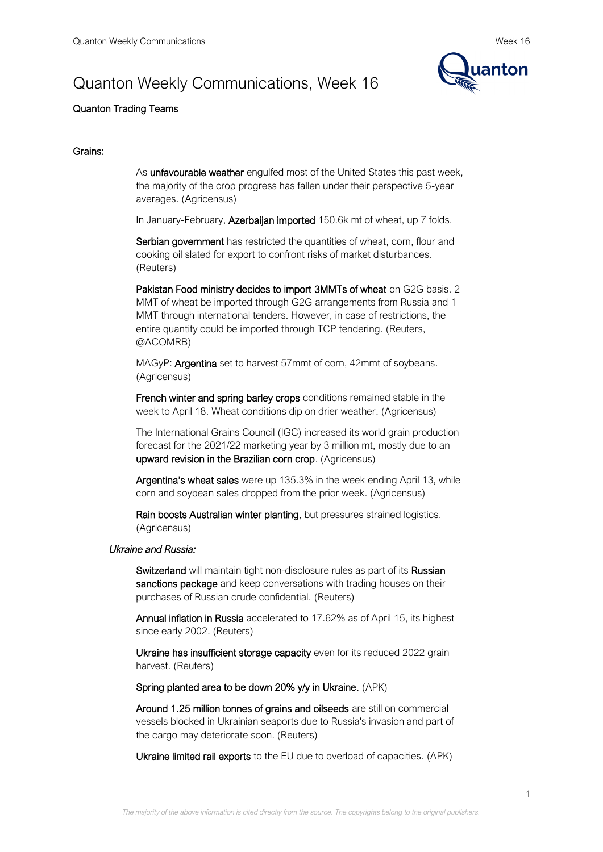# Quanton Weekly Communications, Week 16



# Quanton Trading Teams

# Grains:

As unfavourable weather engulfed most of the United States this past week, the majority of the crop progress has fallen under their perspective 5-year averages. (Agricensus)

In January-February, Azerbaijan imported 150.6k mt of wheat, up 7 folds.

Serbian government has restricted the quantities of wheat, corn, flour and cooking oil slated for export to confront risks of market disturbances. (Reuters)

Pakistan Food ministry decides to import 3MMTs of wheat on G2G basis. 2 MMT of wheat be imported through G2G arrangements from Russia and 1 MMT through international tenders. However, in case of restrictions, the entire quantity could be imported through TCP tendering. (Reuters, @ACOMRB)

MAGyP: Argentina set to harvest 57mmt of corn, 42mmt of soybeans. (Agricensus)

French winter and spring barley crops conditions remained stable in the week to April 18. Wheat conditions dip on drier weather. (Agricensus)

The International Grains Council (IGC) increased its world grain production forecast for the 2021/22 marketing year by 3 million mt, mostly due to an upward revision in the Brazilian corn crop. (Agricensus)

Argentina's wheat sales were up 135.3% in the week ending April 13, while corn and soybean sales dropped from the prior week. (Agricensus)

Rain boosts Australian winter planting, but pressures strained logistics. (Agricensus)

#### *Ukraine and Russia:*

Switzerland will maintain tight non-disclosure rules as part of its Russian sanctions package and keep conversations with trading houses on their purchases of Russian crude confidential. (Reuters)

Annual inflation in Russia accelerated to 17.62% as of April 15, its highest since early 2002. (Reuters)

Ukraine has insufficient storage capacity even for its reduced 2022 grain harvest. (Reuters)

Spring planted area to be down 20% y/y in Ukraine. (APK)

Around 1.25 million tonnes of grains and oilseeds are still on commercial vessels blocked in Ukrainian seaports due to Russia's invasion and part of the cargo may deteriorate soon. (Reuters)

Ukraine limited rail exports to the EU due to overload of capacities. (APK)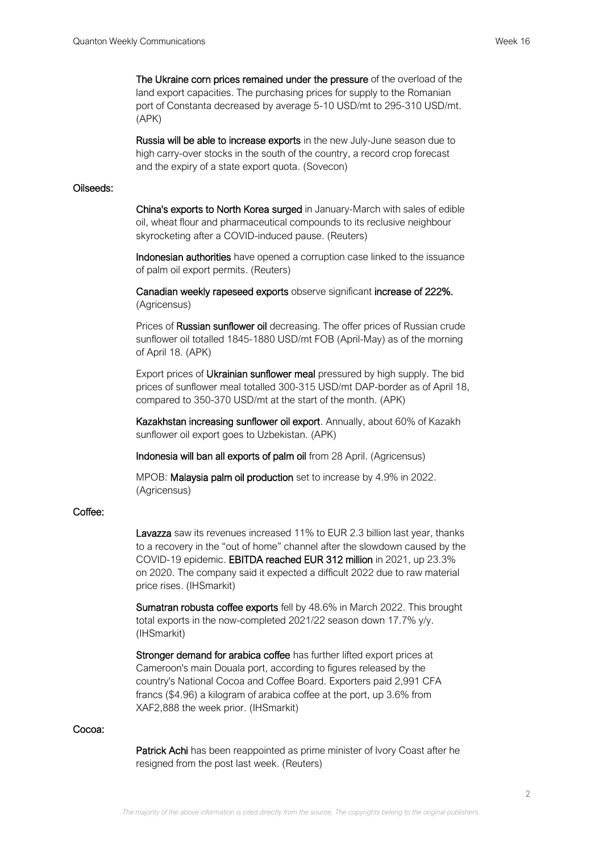The Ukraine corn prices remained under the pressure of the overload of the land export capacities. The purchasing prices for supply to the Romanian port of Constanta decreased by average 5-10 USD/mt to 295-310 USD/mt. (APK)

Russia will be able to increase exports in the new July-June season due to high carry-over stocks in the south of the country, a record crop forecast and the expiry of a state export quota. (Sovecon)

#### Oilseeds:

China's exports to North Korea surged in January-March with sales of edible oil, wheat flour and pharmaceutical compounds to its reclusive neighbour skyrocketing after a COVID-induced pause. (Reuters)

Indonesian authorities have opened a corruption case linked to the issuance of palm oil export permits. (Reuters)

Canadian weekly rapeseed exports observe significant increase of 222%. (Agricensus)

Prices of Russian sunflower oil decreasing. The offer prices of Russian crude sunflower oil totalled 1845-1880 USD/mt FOB (April-May) as of the morning of April 18. (APK)

Export prices of Ukrainian sunflower meal pressured by high supply. The bid prices of sunflower meal totalled 300-315 USD/mt DAP-border as of April 18, compared to 350-370 USD/mt at the start of the month. (APK)

Kazakhstan increasing sunflower oil export. Annually, about 60% of Kazakh sunflower oil export goes to Uzbekistan. (APK)

Indonesia will ban all exports of palm oil from 28 April. (Agricensus)

MPOB: Malaysia palm oil production set to increase by 4.9% in 2022. (Agricensus)

#### Coffee:

Lavazza saw its revenues increased 11% to EUR 2.3 billion last year, thanks to a recovery in the "out of home" channel after the slowdown caused by the COVID-19 epidemic. EBITDA reached EUR 312 million in 2021, up 23.3% on 2020. The company said it expected a difficult 2022 due to raw material price rises. (IHSmarkit)

Sumatran robusta coffee exports fell by 48.6% in March 2022. This brought total exports in the now-completed 2021/22 season down 17.7% y/y. (IHSmarkit)

Stronger demand for arabica coffee has further lifted export prices at Cameroon's main Douala port, according to figures released by the country's National Cocoa and Coffee Board. Exporters paid 2,991 CFA francs (\$4.96) a kilogram of arabica coffee at the port, up 3.6% from XAF2,888 the week prior. (IHSmarkit)

#### Cocoa:

Patrick Achi has been reappointed as prime minister of Ivory Coast after he resigned from the post last week. (Reuters)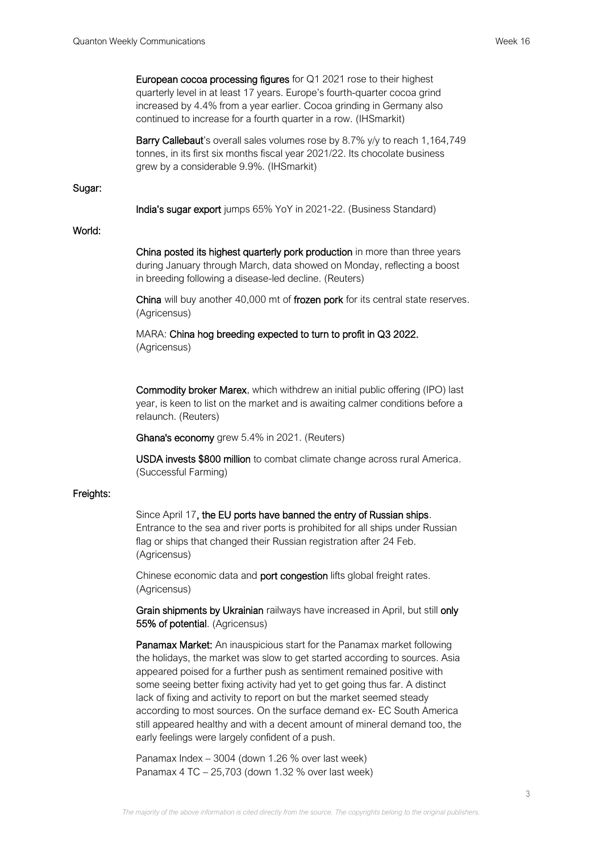European cocoa processing figures for Q1 2021 rose to their highest quarterly level in at least 17 years. Europe's fourth-quarter cocoa grind increased by 4.4% from a year earlier. Cocoa grinding in Germany also continued to increase for a fourth quarter in a row. (IHSmarkit)

Barry Callebaut's overall sales volumes rose by 8.7% y/y to reach 1,164,749 tonnes, in its first six months fiscal year 2021/22. Its chocolate business grew by a considerable 9.9%. (IHSmarkit)

#### Sugar:

India's sugar export jumps 65% YoY in 2021-22. (Business Standard)

## World:

China posted its highest quarterly pork production in more than three years during January through March, data showed on Monday, reflecting a boost in breeding following a disease-led decline. (Reuters)

China will buy another 40,000 mt of frozen pork for its central state reserves. (Agricensus)

MARA: China hog breeding expected to turn to profit in Q3 2022. (Agricensus)

Commodity broker Marex, which withdrew an initial public offering (IPO) last year, is keen to list on the market and is awaiting calmer conditions before a relaunch. (Reuters)

Ghana's economy grew 5.4% in 2021. (Reuters)

USDA invests \$800 million to combat climate change across rural America. (Successful Farming)

### Freights:

Since April 17, the EU ports have banned the entry of Russian ships. Entrance to the sea and river ports is prohibited for all ships under Russian flag or ships that changed their Russian registration after 24 Feb. (Agricensus)

Chinese economic data and **port congestion** lifts global freight rates. (Agricensus)

Grain shipments by Ukrainian railways have increased in April, but still only 55% of potential. (Agricensus)

Panamax Market: An inauspicious start for the Panamax market following the holidays, the market was slow to get started according to sources. Asia appeared poised for a further push as sentiment remained positive with some seeing better fixing activity had yet to get going thus far. A distinct lack of fixing and activity to report on but the market seemed steady according to most sources. On the surface demand ex- EC South America still appeared healthy and with a decent amount of mineral demand too, the early feelings were largely confident of a push.

Panamax Index – 3004 (down 1.26 % over last week) Panamax 4 TC – 25,703 (down 1.32 % over last week)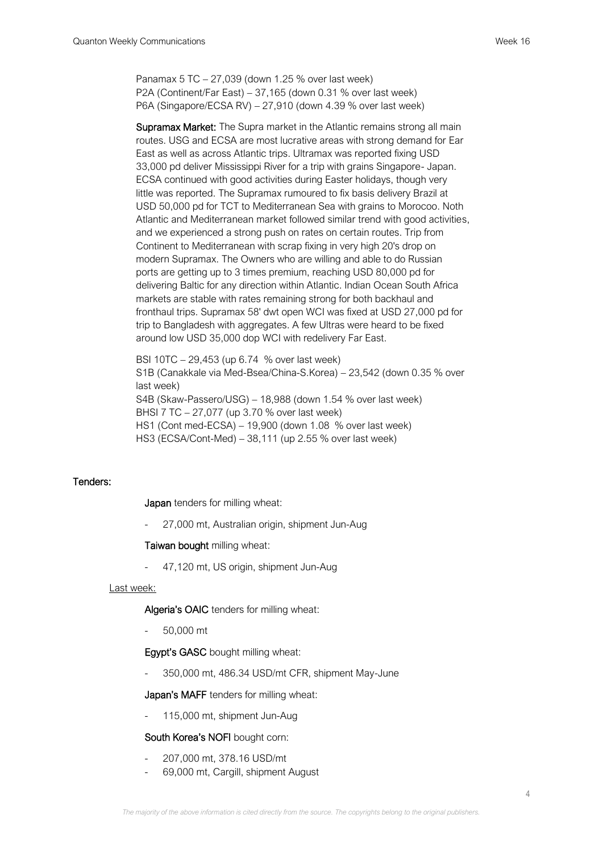Panamax 5 TC – 27,039 (down 1.25 % over last week) P2A (Continent/Far East) – 37,165 (down 0.31 % over last week) P6A (Singapore/ECSA RV) – 27,910 (down 4.39 % over last week)

Supramax Market: The Supra market in the Atlantic remains strong all main routes. USG and ECSA are most lucrative areas with strong demand for Ear East as well as across Atlantic trips. Ultramax was reported fixing USD 33,000 pd deliver Mississippi River for a trip with grains Singapore- Japan. ECSA continued with good activities during Easter holidays, though very little was reported. The Supramax rumoured to fix basis delivery Brazil at USD 50,000 pd for TCT to Mediterranean Sea with grains to Morocoo. Noth Atlantic and Mediterranean market followed similar trend with good activities, and we experienced a strong push on rates on certain routes. Trip from Continent to Mediterranean with scrap fixing in very high 20's drop on modern Supramax. The Owners who are willing and able to do Russian ports are getting up to 3 times premium, reaching USD 80,000 pd for delivering Baltic for any direction within Atlantic. Indian Ocean South Africa markets are stable with rates remaining strong for both backhaul and fronthaul trips. Supramax 58' dwt open WCI was fixed at USD 27,000 pd for trip to Bangladesh with aggregates. A few Ultras were heard to be fixed around low USD 35,000 dop WCI with redelivery Far East.

BSI 10TC – 29,453 (up 6.74 % over last week) S1B (Canakkale via Med-Bsea/China-S.Korea) – 23,542 (down 0.35 % over last week) S4B (Skaw-Passero/USG) – 18,988 (down 1.54 % over last week) BHSI 7 TC – 27,077 (up 3.70 % over last week) HS1 (Cont med-ECSA) – 19,900 (down 1.08 % over last week) HS3 (ECSA/Cont-Med) – 38,111 (up 2.55 % over last week)

# Tenders:

Japan tenders for milling wheat:

27,000 mt, Australian origin, shipment Jun-Aug

#### Taiwan bought milling wheat:

- 47,120 mt, US origin, shipment Jun-Aug

#### Last week:

Algeria's OAIC tenders for milling wheat:

- 50,000 mt

#### Egypt's GASC bought milling wheat:

- 350,000 mt, 486.34 USD/mt CFR, shipment May-June

#### Japan's MAFF tenders for milling wheat:

115,000 mt, shipment Jun-Aug

#### South Korea's NOFI bought corn:

- 207,000 mt, 378.16 USD/mt
- 69,000 mt, Cargill, shipment August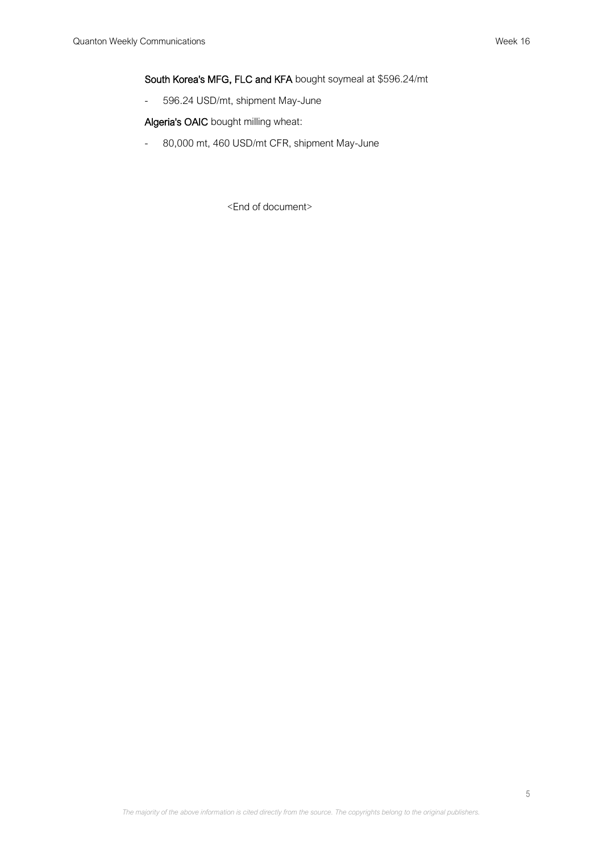South Korea's MFG, FLC and KFA bought soymeal at \$596.24/mt

- 596.24 USD/mt, shipment May-June

Algeria's OAIC bought milling wheat:

- 80,000 mt, 460 USD/mt CFR, shipment May-June

<End of document>